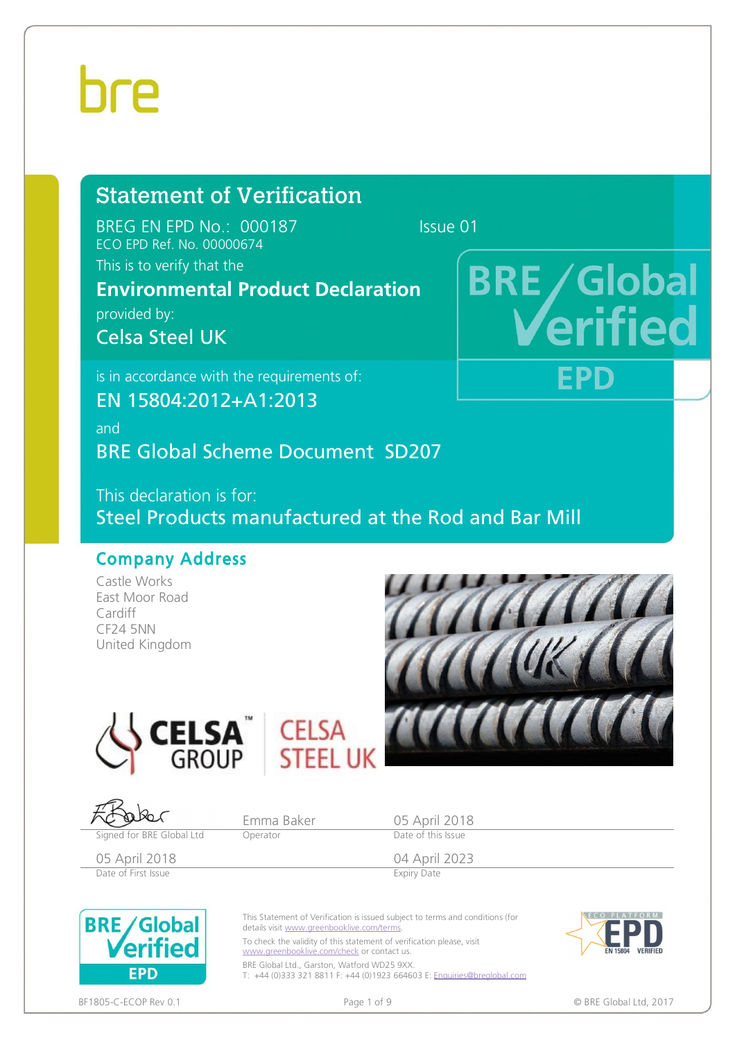# hre

# Statement of Verification

BREG EN EPD No.: 000187 Issue 01 ECO EPD Ref. No. 00000674

### This is to verify that the

### **Environmental Product Declaration**

provided by:

Celsa Steel UK

is in accordance with the requirements of:

EN 15804:2012+A1:2013

and

BRE Global Scheme Document SD207

This declaration is for: Steel Products manufactured at the Rod and Bar Mill

### Company Address

Castle Works East Moor Road Cardiff CF24 5NN United Kingdom



**BRE** / Global

EPD

ELSA I



Emma Baker 05 April 2018<br>
Operator Date of this Issue Signed for BRE Global Ltd **Operator** 05 April 2018 04 April 2023 Date of First Issue **Expiry Date** This Statement of Verification is issued subject to terms and conditions (for **BRE/Global** details visit [www.greenbooklive.com/terms](http://www.greenbooklive.com/terms). erified To check the validity of this statement of verification please, visit [www.greenbooklive.com/check](http://www.greenbooklive.com/check) or contact us.





**EPD**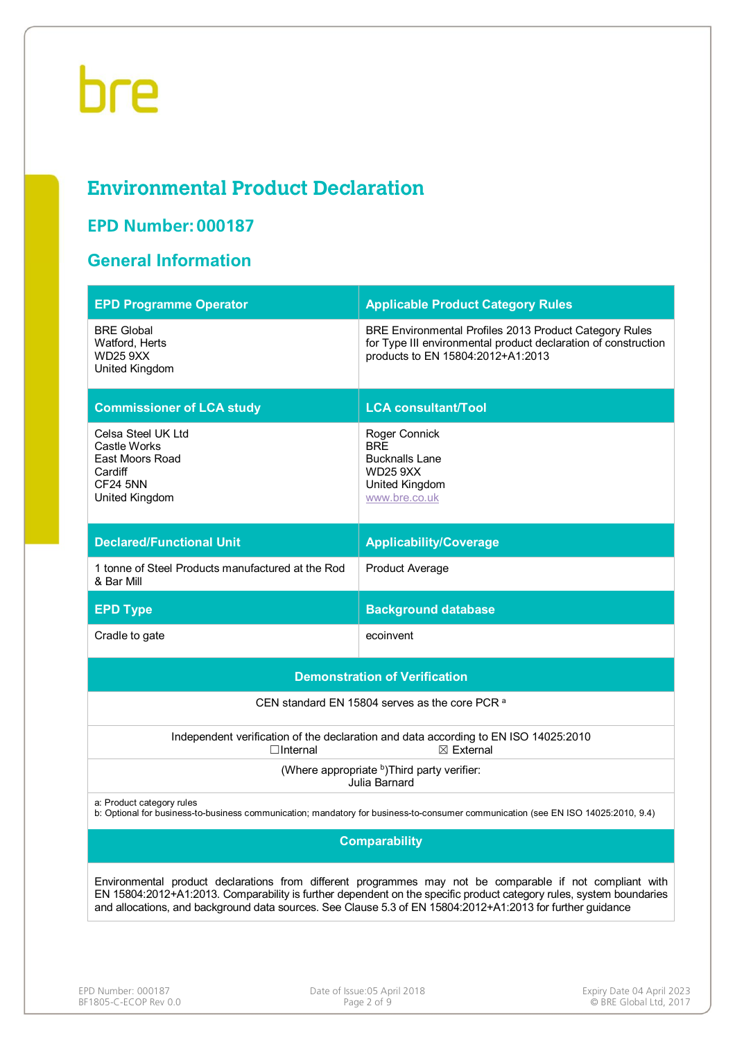## **Environmental Product Declaration**

### **EPD Number: 000187**

### **General Information**

| <b>EPD Programme Operator</b>                                                                                                                                                                                                                                                                                                                 | <b>Applicable Product Category Rules</b>                                                                                                                      |  |  |  |  |  |
|-----------------------------------------------------------------------------------------------------------------------------------------------------------------------------------------------------------------------------------------------------------------------------------------------------------------------------------------------|---------------------------------------------------------------------------------------------------------------------------------------------------------------|--|--|--|--|--|
| <b>BRE Global</b><br>Watford, Herts<br><b>WD25 9XX</b><br>United Kingdom                                                                                                                                                                                                                                                                      | BRE Environmental Profiles 2013 Product Category Rules<br>for Type III environmental product declaration of construction<br>products to EN 15804:2012+A1:2013 |  |  |  |  |  |
| <b>Commissioner of LCA study</b>                                                                                                                                                                                                                                                                                                              | <b>LCA consultant/Tool</b>                                                                                                                                    |  |  |  |  |  |
| Celsa Steel UK Ltd<br>Castle Works<br>East Moors Road<br>Cardiff<br><b>CF24 5NN</b><br>United Kingdom                                                                                                                                                                                                                                         | Roger Connick<br><b>BRE</b><br><b>Bucknalls Lane</b><br><b>WD25 9XX</b><br>United Kingdom<br>www.bre.co.uk                                                    |  |  |  |  |  |
| <b>Declared/Functional Unit</b>                                                                                                                                                                                                                                                                                                               | <b>Applicability/Coverage</b>                                                                                                                                 |  |  |  |  |  |
| 1 tonne of Steel Products manufactured at the Rod<br>& Bar Mill                                                                                                                                                                                                                                                                               | <b>Product Average</b>                                                                                                                                        |  |  |  |  |  |
| <b>EPD Type</b>                                                                                                                                                                                                                                                                                                                               | <b>Background database</b>                                                                                                                                    |  |  |  |  |  |
| Cradle to gate                                                                                                                                                                                                                                                                                                                                | ecoinvent                                                                                                                                                     |  |  |  |  |  |
|                                                                                                                                                                                                                                                                                                                                               | <b>Demonstration of Verification</b>                                                                                                                          |  |  |  |  |  |
|                                                                                                                                                                                                                                                                                                                                               | CEN standard EN 15804 serves as the core PCR <sup>a</sup>                                                                                                     |  |  |  |  |  |
| $\Box$ Internal                                                                                                                                                                                                                                                                                                                               | Independent verification of the declaration and data according to EN ISO 14025:2010<br>$\boxtimes$ External                                                   |  |  |  |  |  |
|                                                                                                                                                                                                                                                                                                                                               | (Where appropriate b) Third party verifier:<br>Julia Barnard                                                                                                  |  |  |  |  |  |
| a: Product category rules<br>b: Optional for business-to-business communication; mandatory for business-to-consumer communication (see EN ISO 14025:2010, 9.4)                                                                                                                                                                                |                                                                                                                                                               |  |  |  |  |  |
| <b>Comparability</b>                                                                                                                                                                                                                                                                                                                          |                                                                                                                                                               |  |  |  |  |  |
| Environmental product declarations from different programmes may not be comparable if not compliant with<br>EN 15804:2012+A1:2013. Comparability is further dependent on the specific product category rules, system boundaries<br>and allocations, and background data sources. See Clause 5.3 of EN 15804:2012+A1:2013 for further guidance |                                                                                                                                                               |  |  |  |  |  |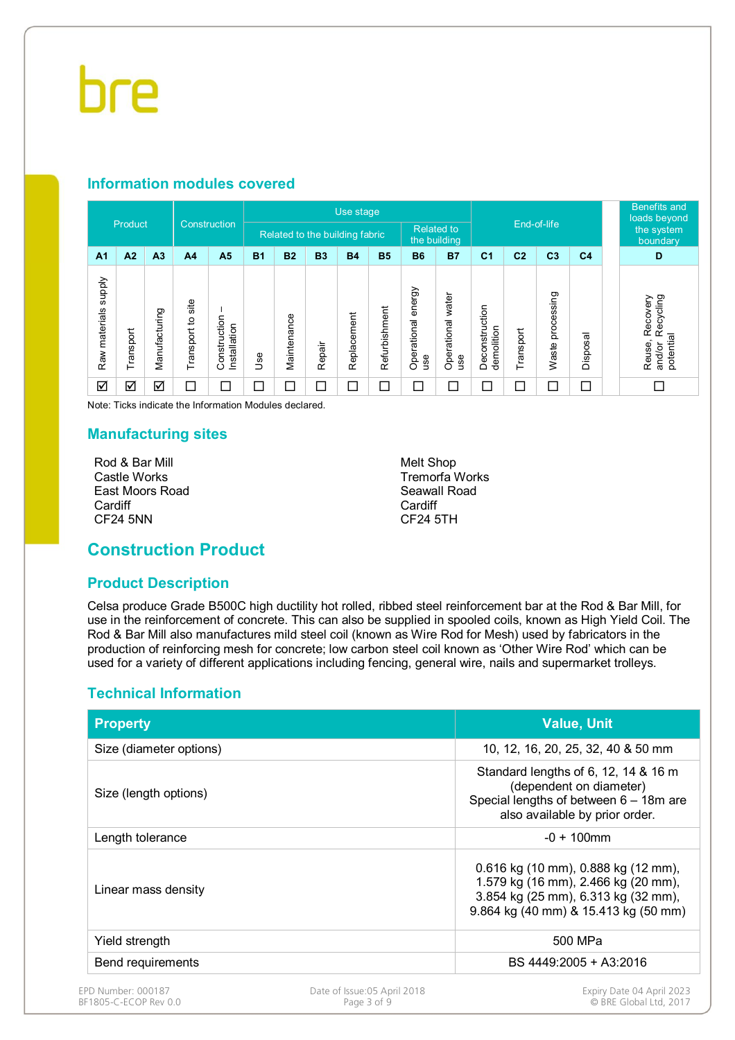#### **Information modules covered**

| Construction                      |                         |                |                      | Use stage                    |            |                                                     |           |             |               |                              |                          |                              | <b>Benefits and</b><br>loads beyond |                     |                        |                                                        |
|-----------------------------------|-------------------------|----------------|----------------------|------------------------------|------------|-----------------------------------------------------|-----------|-------------|---------------|------------------------------|--------------------------|------------------------------|-------------------------------------|---------------------|------------------------|--------------------------------------------------------|
|                                   | Product                 |                |                      |                              |            | <b>Related to</b><br>Related to the building fabric |           |             | the building  |                              |                          | End-of-life                  |                                     |                     | the system<br>boundary |                                                        |
| A <sub>1</sub>                    | A2                      | A <sub>3</sub> | A <sub>4</sub>       | A <sub>5</sub>               | <b>B1</b>  | <b>B2</b>                                           | <b>B3</b> | <b>B4</b>   | <b>B5</b>     | <b>B6</b>                    | <b>B7</b>                | C <sub>1</sub>               | C <sub>2</sub>                      | C <sub>3</sub>      | C <sub>4</sub>         | D                                                      |
| <b>Supply</b><br>materials<br>Raw | Transport               | Manufacturing  | site<br>Transport to | Construction<br>Installation | <b>Jse</b> | Maintenance                                         | Repair    | Replacement | Refurbishment | energy<br>Operational<br>use | Operational water<br>use | Deconstruction<br>demolition | Transport                           | processing<br>Waste | Disposal               | Recovery<br>Recycling<br>potential<br>Reuse,<br>and/or |
| ☑                                 | $\overline{\mathsf{S}}$ | ☑              | Γ                    | $\Box$                       | □          | $\Box$                                              | $\Box$    | $\Box$      | $\Box$        | $\Box$                       | $\Box$                   | Г                            | Г                                   | ⊏                   | П                      | П                                                      |

Note: Ticks indicate the Information Modules declared.

#### **Manufacturing sites**

Rod & Bar Mill Castle Works East Moors Road **Cardiff** CF24 5NN

Melt Shop Tremorfa Works Seawall Road Cardiff CF24 5TH

### **Construction Product**

#### **Product Description**

Celsa produce Grade B500C high ductility hot rolled, ribbed steel reinforcement bar at the Rod & Bar Mill, for use in the reinforcement of concrete. This can also be supplied in spooled coils, known as High Yield Coil. The Rod & Bar Mill also manufactures mild steel coil (known as Wire Rod for Mesh) used by fabricators in the production of reinforcing mesh for concrete; low carbon steel coil known as 'Other Wire Rod' which can be used for a variety of different applications including fencing, general wire, nails and supermarket trolleys.

#### **Technical Information**

| <b>Property</b>         |                                                                                                                                                           | <b>Value, Unit</b>                 |
|-------------------------|-----------------------------------------------------------------------------------------------------------------------------------------------------------|------------------------------------|
| Size (diameter options) |                                                                                                                                                           | 10, 12, 16, 20, 25, 32, 40 & 50 mm |
| Size (length options)   | Standard lengths of 6, 12, 14 & 16 m<br>(dependent on diameter)<br>Special lengths of between 6 - 18m are<br>also available by prior order.               |                                    |
| Length tolerance        |                                                                                                                                                           | $-0 + 100$ mm                      |
| Linear mass density     | 0.616 kg (10 mm), 0.888 kg (12 mm),<br>1.579 kg (16 mm), 2.466 kg (20 mm),<br>3.854 kg (25 mm), 6.313 kg (32 mm),<br>9.864 kg (40 mm) & 15.413 kg (50 mm) |                                    |
| Yield strength          |                                                                                                                                                           | 500 MPa                            |
| Bend requirements       |                                                                                                                                                           | BS 4449:2005 + A3:2016             |
| EPD Number: 000187      | Date of Issue:05 April 2018                                                                                                                               | Expiry Date 04 April 2023          |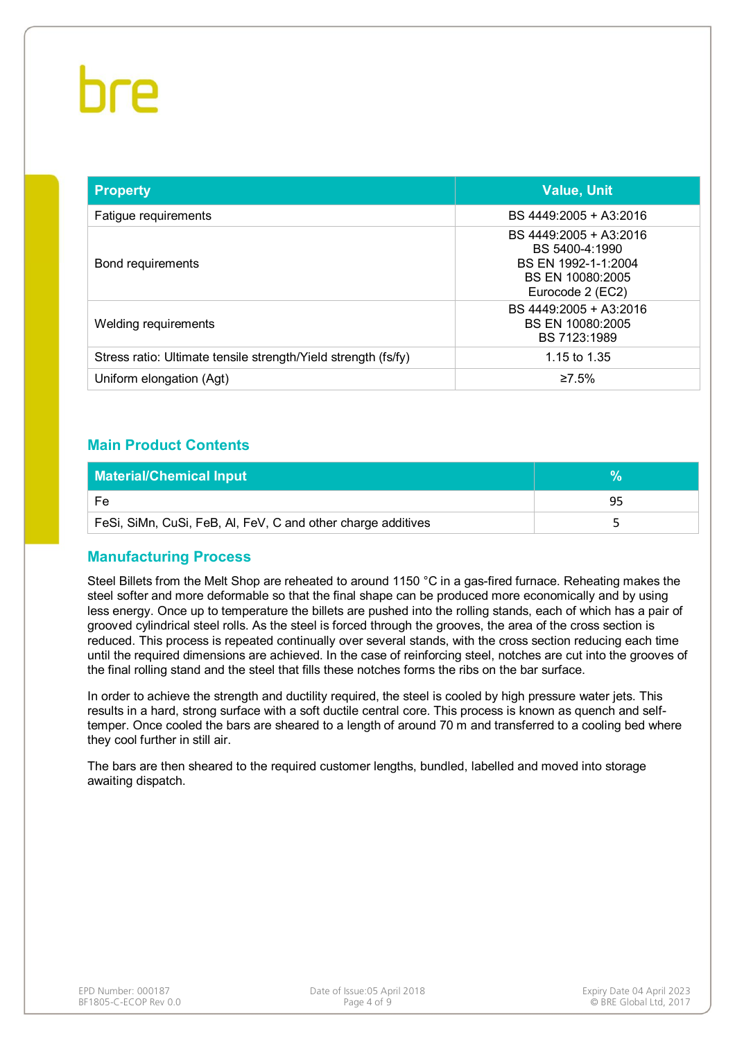| <b>Property</b>                                                | <b>Value, Unit</b>                                                                                      |
|----------------------------------------------------------------|---------------------------------------------------------------------------------------------------------|
| Fatigue requirements                                           | BS 4449:2005 + A3:2016                                                                                  |
| Bond requirements                                              | BS 4449:2005 + A3:2016<br>BS 5400-4:1990<br>BS EN 1992-1-1:2004<br>BS EN 10080:2005<br>Eurocode 2 (EC2) |
| Welding requirements                                           | BS 4449:2005 + A3:2016<br>BS EN 10080:2005<br>BS 7123:1989                                              |
| Stress ratio: Ultimate tensile strength/Yield strength (fs/fy) | 1.15 to 1.35                                                                                            |
| Uniform elongation (Agt)                                       | ≥7.5%                                                                                                   |

#### **Main Product Contents**

| <b>Material/Chemical Input</b>                               |    |
|--------------------------------------------------------------|----|
| Fe                                                           | q۵ |
| FeSi, SiMn, CuSi, FeB, AI, FeV, C and other charge additives |    |

#### **Manufacturing Process**

Steel Billets from the Melt Shop are reheated to around 1150 °C in a gas-fired furnace. Reheating makes the steel softer and more deformable so that the final shape can be produced more economically and by using less energy. Once up to temperature the billets are pushed into the rolling stands, each of which has a pair of grooved cylindrical steel rolls. As the steel is forced through the grooves, the area of the cross section is reduced. This process is repeated continually over several stands, with the cross section reducing each time until the required dimensions are achieved. In the case of reinforcing steel, notches are cut into the grooves of the final rolling stand and the steel that fills these notches forms the ribs on the bar surface.

In order to achieve the strength and ductility required, the steel is cooled by high pressure water jets. This results in a hard, strong surface with a soft ductile central core. This process is known as quench and selftemper. Once cooled the bars are sheared to a length of around 70 m and transferred to a cooling bed where they cool further in still air.

The bars are then sheared to the required customer lengths, bundled, labelled and moved into storage awaiting dispatch.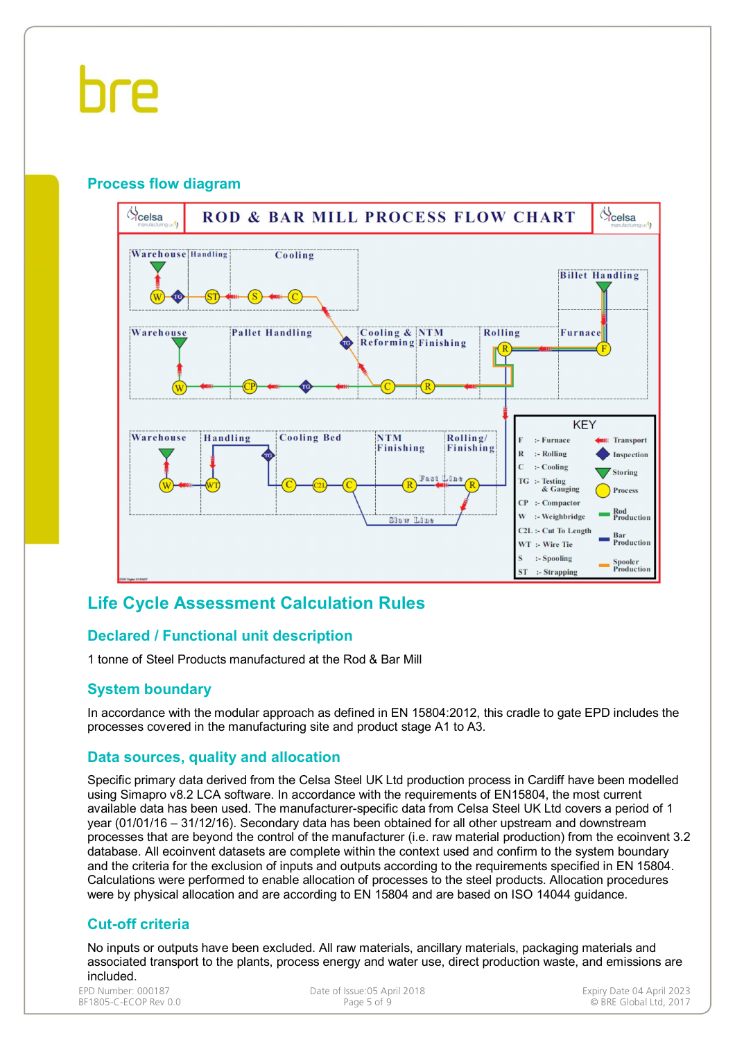#### **Process flow diagram**



### **Life Cycle Assessment Calculation Rules**

#### **Declared / Functional unit description**

1 tonne of Steel Products manufactured at the Rod & Bar Mill

#### **System boundary**

In accordance with the modular approach as defined in EN 15804:2012, this cradle to gate EPD includes the processes covered in the manufacturing site and product stage A1 to A3.

#### **Data sources, quality and allocation**

Specific primary data derived from the Celsa Steel UK Ltd production process in Cardiff have been modelled using Simapro v8.2 LCA software. In accordance with the requirements of EN15804, the most current available data has been used. The manufacturer-specific data from Celsa Steel UK Ltd covers a period of 1 year (01/01/16 – 31/12/16). Secondary data has been obtained for all other upstream and downstream processes that are beyond the control of the manufacturer (i.e. raw material production) from the ecoinvent 3.2 database. All ecoinvent datasets are complete within the context used and confirm to the system boundary and the criteria for the exclusion of inputs and outputs according to the requirements specified in EN 15804. Calculations were performed to enable allocation of processes to the steel products. Allocation procedures were by physical allocation and are according to EN 15804 and are based on ISO 14044 guidance.

#### **Cut-off criteria**

No inputs or outputs have been excluded. All raw materials, ancillary materials, packaging materials and associated transport to the plants, process energy and water use, direct production waste, and emissions are included.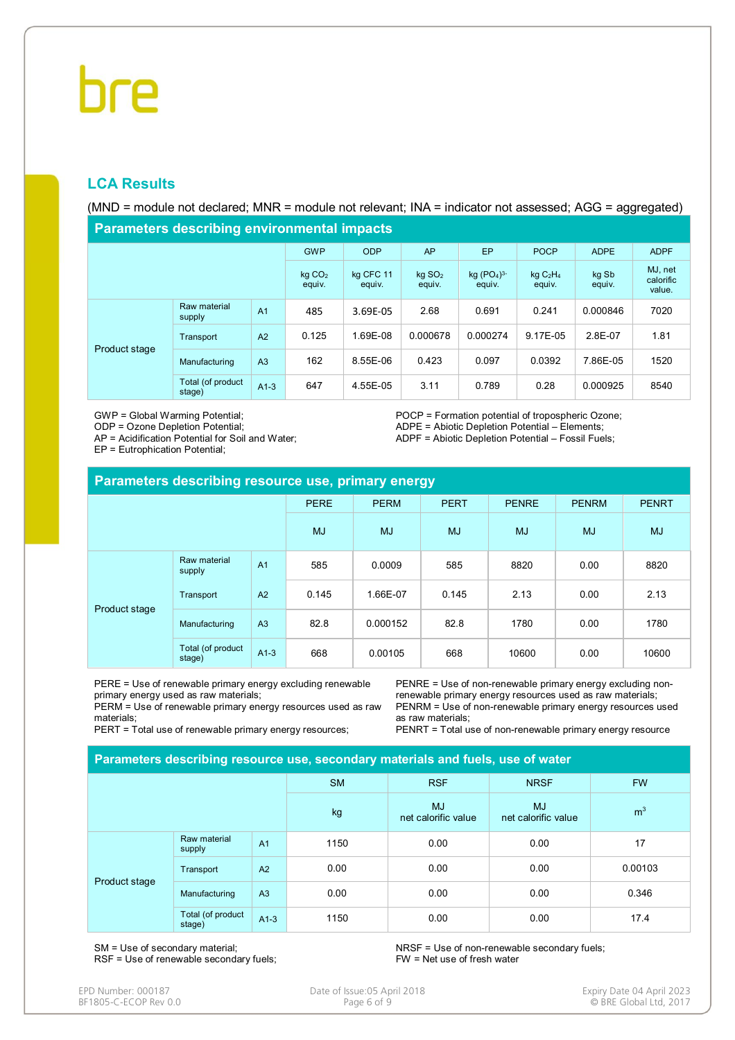#### **LCA Results**

(MND = module not declared; MNR = module not relevant; INA = indicator not assessed; AGG = aggregated)

**Parameters describing environmental impacts**

| <u>relatively agoviting characterization pacts</u> |                              |                     |                                |                        |                         |                 |                                |          |      |  |  |
|----------------------------------------------------|------------------------------|---------------------|--------------------------------|------------------------|-------------------------|-----------------|--------------------------------|----------|------|--|--|
|                                                    | <b>GWP</b>                   | <b>ODP</b>          | AP                             | EP                     | <b>POCP</b>             | <b>ADPE</b>     | <b>ADPF</b>                    |          |      |  |  |
|                                                    | kg CO <sub>2</sub><br>equiv. | kg CFC 11<br>equiv. | $kq$ SO <sub>2</sub><br>equiv. | $kq (PO4)3-$<br>equiv. | $kq$ $C_2H_4$<br>equiv. | kg Sb<br>equiv. | MJ, net<br>calorific<br>value. |          |      |  |  |
| Product stage                                      | Raw material<br>supply       | A <sub>1</sub>      | 485                            | 3.69E-05               | 2.68                    | 0.691           | 0.241                          | 0.000846 | 7020 |  |  |
|                                                    | Transport                    | A2                  | 0.125                          | 1.69E-08               | 0.000678                | 0.000274        | 9.17E-05                       | 2.8E-07  | 1.81 |  |  |
|                                                    | Manufacturing                | A <sub>3</sub>      | 162                            | 8.55E-06               | 0.423                   | 0.097           | 0.0392                         | 7.86E-05 | 1520 |  |  |
|                                                    | Total (of product<br>stage)  | $A1-3$              | 647                            | 4.55E-05               | 3.11                    | 0.789           | 0.28                           | 0.000925 | 8540 |  |  |

GWP = Global Warming Potential;

ODP = Ozone Depletion Potential;

AP = Acidification Potential for Soil and Water;

EP = Eutrophication Potential;

POCP = Formation potential of tropospheric Ozone; ADPE = Abiotic Depletion Potential – Elements; ADPF = Abiotic Depletion Potential – Fossil Fuels;

| Parameters describing resource use, primary energy |                             |                |             |             |             |              |              |              |  |  |
|----------------------------------------------------|-----------------------------|----------------|-------------|-------------|-------------|--------------|--------------|--------------|--|--|
|                                                    |                             |                | <b>PERE</b> | <b>PERM</b> | <b>PERT</b> | <b>PENRE</b> | <b>PENRM</b> | <b>PENRT</b> |  |  |
|                                                    |                             | <b>MJ</b>      | <b>MJ</b>   | <b>MJ</b>   | <b>MJ</b>   | <b>MJ</b>    | <b>MJ</b>    |              |  |  |
| Product stage                                      | Raw material<br>supply      | A <sub>1</sub> | 585         | 0.0009      | 585         | 8820         | 0.00         | 8820         |  |  |
|                                                    | Transport                   | A2             | 0.145       | 1.66E-07    | 0.145       | 2.13         | 0.00         | 2.13         |  |  |
|                                                    | Manufacturing               | A <sub>3</sub> | 82.8        | 0.000152    | 82.8        | 1780         | 0.00         | 1780         |  |  |
|                                                    | Total (of product<br>stage) | $A1-3$         | 668         | 0.00105     | 668         | 10600        | 0.00         | 10600        |  |  |

PERE = Use of renewable primary energy excluding renewable primary energy used as raw materials;

PERM = Use of renewable primary energy resources used as raw materials;

PERT = Total use of renewable primary energy resources;

PENRE = Use of non-renewable primary energy excluding nonrenewable primary energy resources used as raw materials; PENRM = Use of non-renewable primary energy resources used as raw materials;

PENRT = Total use of non-renewable primary energy resource

| Parameters describing resource use, secondary materials and fuels, use of water |                             |                |           |                                  |                                  |                |  |  |  |
|---------------------------------------------------------------------------------|-----------------------------|----------------|-----------|----------------------------------|----------------------------------|----------------|--|--|--|
|                                                                                 |                             |                | <b>SM</b> | <b>RSF</b>                       | <b>NRSF</b>                      | <b>FW</b>      |  |  |  |
|                                                                                 |                             |                | kg        | <b>MJ</b><br>net calorific value | <b>MJ</b><br>net calorific value | m <sup>3</sup> |  |  |  |
|                                                                                 | Raw material<br>supply      | A <sub>1</sub> | 1150      | 0.00                             | 0.00                             | 17             |  |  |  |
|                                                                                 | Transport                   | A2             | 0.00      | 0.00                             | 0.00                             | 0.00103        |  |  |  |
| Product stage                                                                   | Manufacturing               | A <sub>3</sub> | 0.00      | 0.00                             | 0.00                             | 0.346          |  |  |  |
|                                                                                 | Total (of product<br>stage) | $A1-3$         | 1150      | 0.00                             | 0.00                             | 17.4           |  |  |  |

SM = Use of secondary material; RSF = Use of renewable secondary fuels; NRSF = Use of non-renewable secondary fuels; FW = Net use of fresh water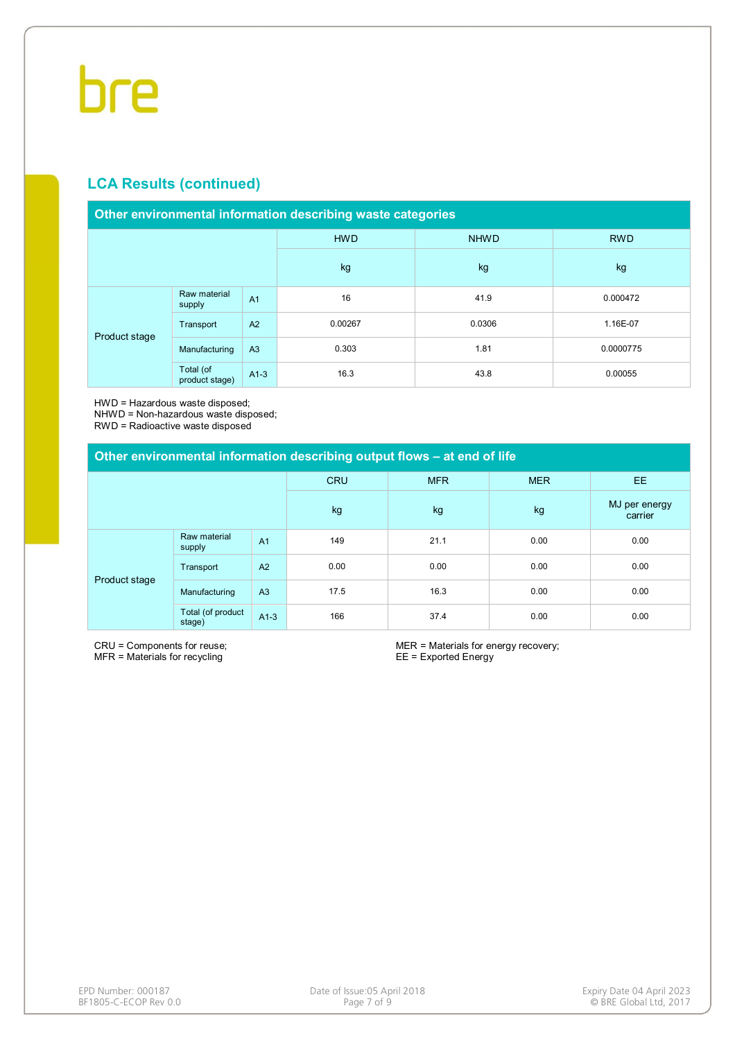#### **LCA Results (continued)**

#### **Other environmental information describing waste categories**

|               |                             |                | <b>HWD</b> | <b>NHWD</b> | <b>RWD</b> |
|---------------|-----------------------------|----------------|------------|-------------|------------|
|               |                             |                | kg         | kg          | kg         |
|               | Raw material<br>supply      | A <sub>1</sub> | 16         | 41.9        | 0.000472   |
|               | Transport                   | A2             | 0.00267    | 0.0306      | 1.16E-07   |
| Product stage | Manufacturing               | A3             | 0.303      | 1.81        | 0.0000775  |
|               | Total (of<br>product stage) | $A1-3$         | 16.3       | 43.8        | 0.00055    |

HWD = Hazardous waste disposed;

NHWD = Non-hazardous waste disposed;

RWD = Radioactive waste disposed

| Other environmental information describing output flows – at end of life |                             |                |            |            |            |                          |  |  |  |
|--------------------------------------------------------------------------|-----------------------------|----------------|------------|------------|------------|--------------------------|--|--|--|
|                                                                          |                             |                | <b>CRU</b> | <b>MFR</b> | <b>MER</b> | <b>EE</b>                |  |  |  |
|                                                                          |                             |                | kg         | kg         | kg         | MJ per energy<br>carrier |  |  |  |
| Product stage                                                            | Raw material<br>supply      | A <sub>1</sub> | 149        | 21.1       | 0.00       | 0.00                     |  |  |  |
|                                                                          | Transport                   | A <sub>2</sub> | 0.00       | 0.00       | 0.00       | 0.00                     |  |  |  |
|                                                                          | Manufacturing               | A <sub>3</sub> | 17.5       | 16.3       | 0.00       | 0.00                     |  |  |  |
|                                                                          | Total (of product<br>stage) | $A1-3$         | 166        | 37.4       | 0.00       | 0.00                     |  |  |  |

CRU = Components for reuse; MFR = Materials for recycling

MER = Materials for energy recovery; EE = Exported Energy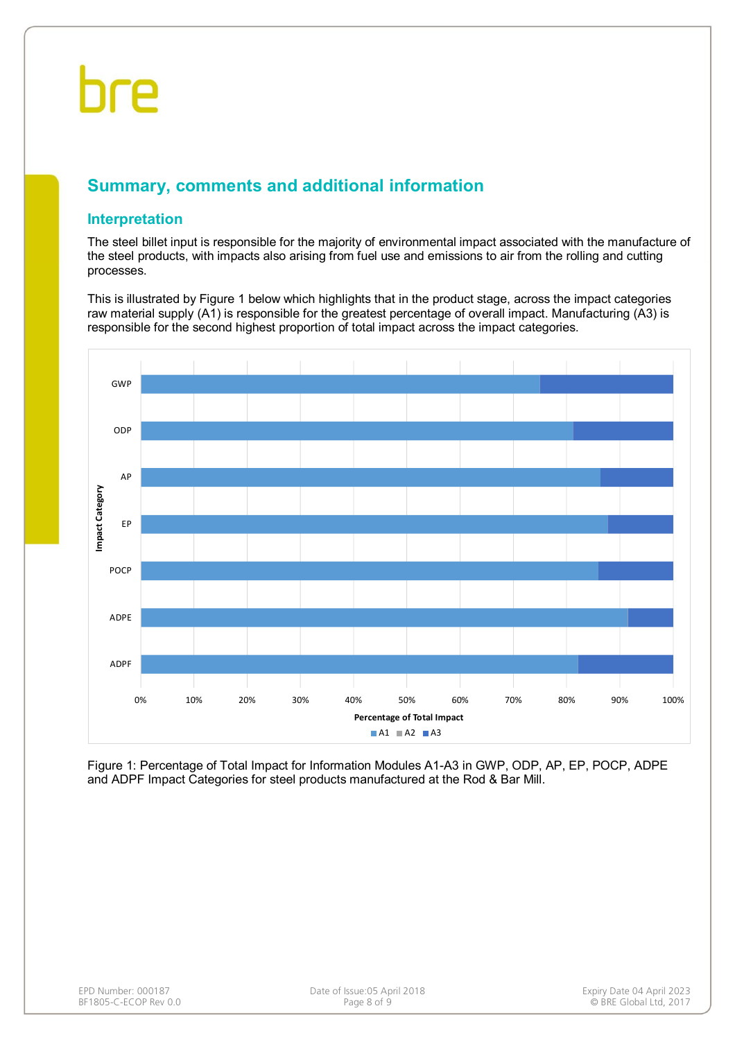### **Summary, comments and additional information**

#### **Interpretation**

The steel billet input is responsible for the majority of environmental impact associated with the manufacture of the steel products, with impacts also arising from fuel use and emissions to air from the rolling and cutting processes.

This is illustrated by Figure 1 below which highlights that in the product stage, across the impact categories raw material supply (A1) is responsible for the greatest percentage of overall impact. Manufacturing (A3) is responsible for the second highest proportion of total impact across the impact categories.



Figure 1: Percentage of Total Impact for Information Modules A1-A3 in GWP, ODP, AP, EP, POCP, ADPE and ADPF Impact Categories for steel products manufactured at the Rod & Bar Mill.